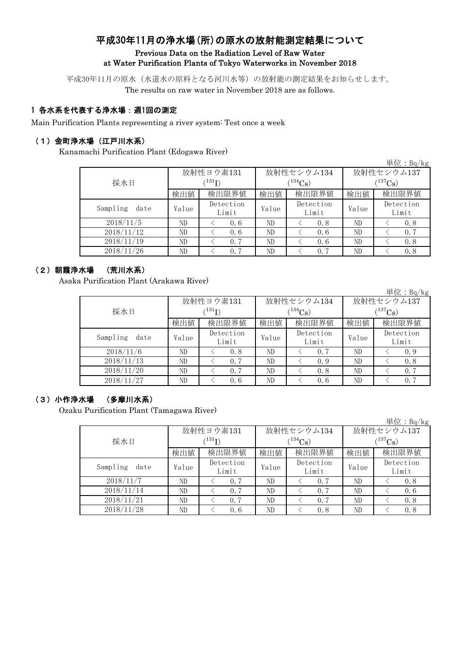# 平成30年11月の浄水場(所)の原水の放射能測定結果について Previous Data on the Radiation Level of Raw Water at Water Purification Plants of Tokyo Waterworks in November 2018

平成30年11月の原水(水道水の原料となる河川水等)の放射能の測定結果をお知らせします。 The results on raw water in November 2018 are as follows.

## 1 各水系を代表する浄水場:週1回の測定

Main Purification Plants representing a river system: Test once a week

## (1)金町浄水場(江戸川水系)

Kanamachi Purification Plant (Edogawa River)

|                  |       |                    |       |                    |                       | 単位: $Bq/kg$        |  |  |
|------------------|-------|--------------------|-------|--------------------|-----------------------|--------------------|--|--|
|                  |       | 放射性ヨウ素131          |       | 放射性セシウム134         |                       | 放射性セシウム137         |  |  |
| 採水日              |       | $^{131}$ I)        |       | $134C_{\rm S}$     | $(^{137}\mathrm{Cs})$ |                    |  |  |
|                  | 検出値   | 検出限界値              | 検出値   | 検出限界値              | 検出値                   | 検出限界値              |  |  |
| Sampling<br>date | Value | Detection<br>Limit | Value | Detection<br>Limit | Value                 | Detection<br>Limit |  |  |
| 2018/11/5        | ND    | 0.6                | ND    | 0.8                | ND                    | 0.8                |  |  |
| 2018/11/12       | ND    | 0.6                | ND    | 0.6                | ND                    | 0, 7               |  |  |
| 2018/11/19       | ND    | 0.7                | ND    | 0.6                | ND                    | 0.8                |  |  |
| 2018/11/26       | ND    | 0.7                | ND    | 0.7                | ND                    | 0.8                |  |  |

#### (2)朝霞浄水場 (荒川水系)

Asaka Purification Plant (Arakawa River)

単位:Bq/kg

|                  |       | 放射性ヨウ素131          |       | 放射性セシウム134         | 放射性セシウム137            |                    |  |
|------------------|-------|--------------------|-------|--------------------|-----------------------|--------------------|--|
| 採水日              |       | $^{131}$ I)        |       | $134$ Cs)          | $(^{137}\mathrm{Cs})$ |                    |  |
|                  | 検出値   | 検出限界値              | 検出値   | 検出限界値              | 検出値                   | 検出限界値              |  |
| Sampling<br>date | Value | Detection<br>Limit | Value | Detection<br>Limit | Value                 | Detection<br>Limit |  |
| 2018/11/6        | ND    | 0.8                | ND    | 0.7                | ND                    | 0.9                |  |
| 2018/11/13       | ND    | 0.7                | ND    | 0.9                | ND                    | 0.8                |  |
| 2018/11/20       | ND    | 0.7                | ND    | 0.8                | ND                    | 0.7                |  |
| 2018/11/27       | ND    | 0.6                | ND    | 0.6                | ND                    | 0.7                |  |

## (3)小作浄水場 (多摩川水系)

Ozaku Purification Plant (Tamagawa River)

|                  |       |                    |                |                    |             | 単位: $Bq/kg$        |  |
|------------------|-------|--------------------|----------------|--------------------|-------------|--------------------|--|
|                  |       | 放射性ヨウ素131          |                | 放射性セシウム134         | 放射性セシウム137  |                    |  |
| 採水日              |       |                    | $134C_{\rm S}$ |                    | $(137)$ Cs) |                    |  |
|                  | 検出値   | 検出限界値              | 検出値            | 検出限界値              | 検出値         | 検出限界値              |  |
| Sampling<br>date | Value | Detection<br>Limit | Value          | Detection<br>Limit | Value       | Detection<br>Limit |  |
| 2018/11/7        | ND    | 0.7                | ND             | 0.7                | ND          | 0.8                |  |
| 2018/11/14       | ND    | 0.7                | ND             | 0.7                | ND          | 0.6                |  |
| 2018/11/21       | ND    | 0.7                | ND             | 0.7                | ND          | 0.8                |  |
| 2018/11/28       | ND    | 0.6                | ND             | 0.8                | ND          | 0.8                |  |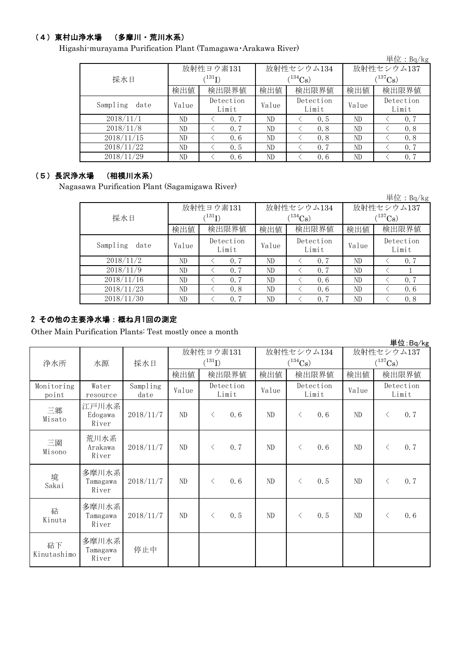# (4)東村山浄水場 (多摩川・荒川水系)

Higashi-murayama Purification Plant (Tamagawa・Arakawa River)

|                  |       |                     |       |                    |              | 単位: $Bq/kg$        |  |
|------------------|-------|---------------------|-------|--------------------|--------------|--------------------|--|
|                  |       | 放射性ヨウ素131           |       | 放射性セシウム134         | 放射性セシウム137   |                    |  |
| 採水日              |       | $^{\prime\,131}$ T) |       | $(134)$ Cs)        | $(^{137}Cs)$ |                    |  |
|                  | 検出値   | 検出限界値               | 検出値   | 検出限界値              | 検出値          | 検出限界値              |  |
| Sampling<br>date | Value | Detection<br>Limit  | Value | Detection<br>Limit | Value        | Detection<br>Limit |  |
| 2018/11/1        | ND    | 0.7                 | ND    | 0.5                | ND           | 0.7                |  |
| 2018/11/8        | ND    | 0.7                 | ND    | 0.8                | ND           | 0, 8               |  |
| 2018/11/15       | ND    | 0.6                 | ND    | 0.8                | ND           | 0.8                |  |
| 2018/11/22       | ND    | 0.5                 | ND    | 0.7                | ND           | 0.7                |  |
| 2018/11/29       | ND    | 0.6                 | ND    | 0.6                | ND           | 0.7                |  |

#### (5)長沢浄水場 (相模川水系)

Nagasawa Purification Plant (Sagamigawa River)

|                  |       |                    |       |                    |              | 単位: $Bq/kg$        |  |
|------------------|-------|--------------------|-------|--------------------|--------------|--------------------|--|
|                  |       | 放射性ヨウ素131          |       | 放射性セシウム134         | 放射性セシウム137   |                    |  |
| 採水日              |       | $\binom{131}{1}$   |       | $(134)$ Cs         | $(^{137}Cs)$ |                    |  |
|                  | 検出値   | 検出限界値              | 検出値   | 検出限界値              | 検出値          | 検出限界値              |  |
| Sampling<br>date | Value | Detection<br>Limit | Value | Detection<br>Limit | Value        | Detection<br>Limit |  |
| 2018/11/2        | ND    | 0.7                | ND    | 0.7                | ND           | 0.7                |  |
| 2018/11/9        | ND    | 0.7                | ND    | 0.7                | ND           |                    |  |
| 2018/11/16       | ND    | 0.7                | ND    | 0.6                | ND           | 0.7                |  |
| 2018/11/23       | ND    | 0.8                | ND    | 0.6                | ND           | 0.6                |  |
| 2018/11/30       | ND    | 0.7                | ND    | 0.7                | ND           | 0.8                |  |

# 2 その他の主要浄水場:概ね月1回の測定

Other Main Purification Plants: Test mostly once a month

|                     |                            |                  |       |             |                    |       |                       |                    |            |              | 単位:Bq/kg           |
|---------------------|----------------------------|------------------|-------|-------------|--------------------|-------|-----------------------|--------------------|------------|--------------|--------------------|
|                     |                            |                  |       | 放射性ヨウ素131   |                    |       |                       | 放射性セシウム134         | 放射性セシウム137 |              |                    |
| 浄水所                 | 水源                         | 採水日              |       | $(^{131}I)$ |                    |       | $(^{134}\mathrm{Cs})$ |                    |            | $(^{137}Cs)$ |                    |
|                     |                            |                  | 検出値   |             | 検出限界値              | 検出値   |                       | 検出限界値              | 検出値        |              | 検出限界値              |
| Monitoring<br>point | Water<br>resource          | Sampling<br>date | Value |             | Detection<br>Limit | Value |                       | Detection<br>Limit | Value      |              | Detection<br>Limit |
| 三郷<br>Misato        | 江戸川水系<br>Edogawa<br>River  | 2018/11/7        | ND    | $\langle$   | 0.6                | ND    | $\lt$                 | 0.6                | ND         | $\langle$    | 0.7                |
| 三園<br>Misono        | 荒川水系<br>Arakawa<br>River   | 2018/11/7        | ND    | $\lt$       | 0.7                | ND    | $\lt$                 | 0.6                | ND         | $\lt$        | 0.7                |
| 境<br>Sakai          | 多摩川水系<br>Tamagawa<br>River | 2018/11/7        | ND    | $\langle$   | 0.6                | ND    | $\lt$                 | 0.5                | ND         | $\lt$        | 0.7                |
| 砧<br>Kinuta         | 多摩川水系<br>Tamagawa<br>River | 2018/11/7        | ND    | $\langle$   | 0.5                | ND    | $\lt$                 | 0.5                | ND         | $\langle$    | 0.6                |
| 砧下<br>Kinutashimo   | 多摩川水系<br>Tamagawa<br>River | 停止中              |       |             |                    |       |                       |                    |            |              |                    |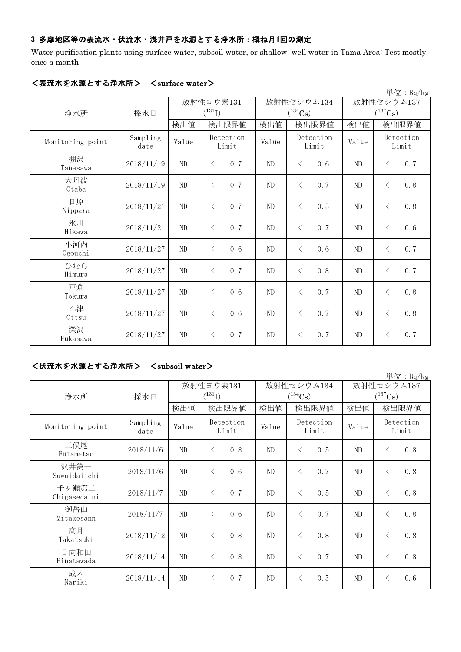# 3 多摩地区等の表流水・伏流水・浅井戸を水源とする浄水所:概ね月1回の測定

Water purification plants using surface water, subsoil water, or shallow well water in Tama Area: Test mostly once a month

|                  |                  |          |                    |       |                       |            | 単位: Bq/kg             |
|------------------|------------------|----------|--------------------|-------|-----------------------|------------|-----------------------|
|                  |                  |          | 放射性ヨウ素131          |       | 放射性セシウム134            | 放射性セシウム137 |                       |
| 浄水所              | 採水日              |          | $(^{131}I)$        |       | $(^{134}\mathrm{Cs})$ |            | $(^{137}\mathrm{Cs})$ |
|                  |                  | 検出値      | 検出限界値              | 検出値   | 検出限界値                 | 検出値        | 検出限界値                 |
| Monitoring point | Sampling<br>date | Value    | Detection<br>Limit | Value | Detection<br>Limit    | Value      | Detection<br>Limit    |
| 棚沢<br>Tanasawa   | 2018/11/19       | ND       | 0.7<br>$\lt$       | ND    | 0, 6<br>$\lt$         | ND         | 0.7<br>$\lt$          |
| 大丹波<br>0taba     | 2018/11/19       | ND       | $\langle$<br>0.7   | ND    | 0.7<br>$\lt$          | ND         | 0.8<br>$\lt$          |
| 日原<br>Nippara    | 2018/11/21       | ND       | 0.7<br>$\langle$   | ND    | 0.5<br>$\lt$          | ND         | 0.8<br>$\lt$          |
| 氷川<br>Hikawa     | 2018/11/21       | ND       | 0.7<br>$\langle$   | ND    | 0.7<br>$\lt$          | ND         | 0.6<br>$\langle$      |
| 小河内<br>Ogouchi   | 2018/11/27       | ND       | $\langle$<br>0.6   | ND    | $\lt$<br>0.6          | ND         | 0.7<br>$\lt$          |
| ひむら<br>Himura    | 2018/11/27       | ND       | 0.7<br>$\langle$   | ND    | 0, 8<br>$\langle$     | ND         | 0.7<br>$\lt$          |
| 戸倉<br>Tokura     | 2018/11/27       | ND       | 0.6<br>$\lt$       | ND    | 0, 7<br>$\lt$         | ND         | 0.8<br>$\lt$          |
| 乙津<br>Ottsu      | 2018/11/27       | $\rm ND$ | 0.6<br>$\lt$       | ND    | 0.7<br>$\lt$          | ND         | 0.8<br>$\lt$          |
| 深沢<br>Fukasawa   | 2018/11/27       | ND       | 0.7<br>$\langle$   | ND    | 0.7<br>$\lt$          | $\rm ND$   | 0.7<br>$\lt$          |

# <表流水を水源とする浄水所> <surface water>

# <伏流水を水源とする浄水所> <subsoil water>

|                       |                  |           |                                     |       |                    |            | 単位: Bq/kg          |
|-----------------------|------------------|-----------|-------------------------------------|-------|--------------------|------------|--------------------|
|                       |                  | 放射性ヨウ素131 |                                     |       | 放射性セシウム134         | 放射性セシウム137 |                    |
| 浄水所                   | 採水日              |           | $(^{131}I)$                         |       | $(^{134}Cs)$       |            | $(^{137}Cs)$       |
|                       |                  | 検出値       | 検出限界値                               | 検出値   | 検出限界値              | 検出値        | 検出限界値              |
| Monitoring point      | Sampling<br>date | Value     | Detection<br>Limit                  | Value | Detection<br>Limit | Value      | Detection<br>Limit |
| 二俣尾<br>Futamatao      | 2018/11/6        | ND        | $\left\langle \right\rangle$<br>0.8 | ND    | 0.5<br>$\lt$       | ND         | 0.8<br>$\lt$       |
| 沢井第一<br>Sawaidaiichi  | 2018/11/6        | ND        | 0.6<br>$\langle$                    | ND    | 0.7<br>$\langle$   | ND         | 0.8<br>$\langle$   |
| 千ヶ瀬第二<br>Chigasedaini | 2018/11/7        | ND        | 0.7<br>$\left\langle \right\rangle$ | ND    | 0.5<br>$\langle$   | ND         | 0.8<br>$\lt$       |
| 御岳山<br>Mitakesann     | 2018/11/7        | ND        | $\left\langle \right\rangle$<br>0.6 | ND    | $\lt$<br>0.7       | ND         | 0.8<br>$\lt$       |
| 高月<br>Takatsuki       | 2018/11/12       | ND        | 0.8<br>$\langle$                    | ND    | 0.8<br>$\langle$   | ND         | 0.8<br>$\langle$   |
| 日向和田<br>Hinatawada    | 2018/11/14       | ND        | 0.8<br>$\left\langle \right\rangle$ | ND    | 0.7<br>$\langle$   | ND         | 0.8<br>$\lt$       |
| 成木<br>Nariki          | 2018/11/14       | ND        | 0.7<br>$\langle$                    | ND    | 0.5<br>$\lt$       | ND         | 0.6<br>$\lt$       |